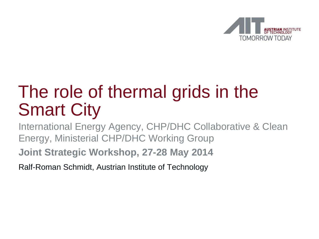

# The role of thermal grids in the Smart City

International Energy Agency, CHP/DHC Collaborative & Clean Energy, Ministerial CHP/DHC Working Group

**Joint Strategic Workshop, 27-28 May 2014**

Ralf-Roman Schmidt, Austrian Institute of Technology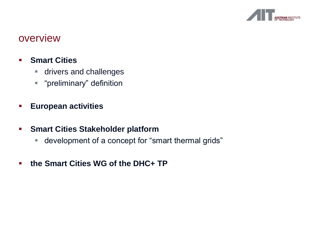

#### overview

- **Smart Cities**
	- **drivers and challenges**
	- **"** "preliminary" definition
- **European activities**
- **Smart Cities Stakeholder platform** 
	- development of a concept for "smart thermal grids"
- **the Smart Cities WG of the DHC+ TP**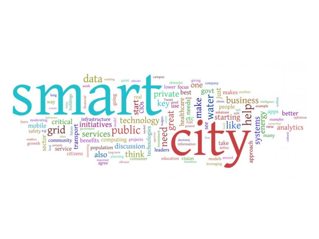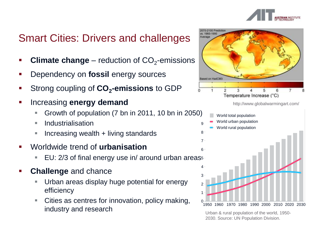

### Smart Cities: Drivers and challenges

- **Climate change** reduction of CO<sub>2</sub>-emissions
- Dependency on **fossil** energy sources
- **-** Strong coupling of CO<sub>2</sub>-emissions to GDP
- **Increasing energy demand** 
	- Growth of population (7 bn in 2011, 10 bn in 2050)
	- **Industrialisation**
	- Increasing wealth  $+$  living standards

#### Worldwide trend of **urbanisation**

- EU: 2/3 of final energy use in/ around urban areas<sup>5</sup>
- **Challenge** and chance
	- Urban areas display huge potential for energy efficiency
	- Cities as centres for innovation, policy making, industry and research under the Urban & rural population of the world, 1950-



http://www.globalwarmingart.com/



2030. Source: UN Population Division.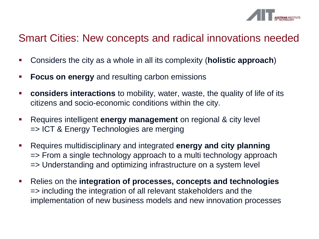

### Smart Cities: New concepts and radical innovations needed

- Considers the city as a whole in all its complexity (**holistic approach**)
- **Focus on energy** and resulting carbon emissions
- **Considers interactions** to mobility, water, waste, the quality of life of its citizens and socio-economic conditions within the city.
- Requires intelligent **energy management** on regional & city level => ICT & Energy Technologies are merging
- Requires multidisciplinary and integrated **energy and city planning**  => From a single technology approach to a multi technology approach => Understanding and optimizing infrastructure on a system level
- Relies on the **integration of processes, concepts and technologies**  => including the integration of all relevant stakeholders and the implementation of new business models and new innovation processes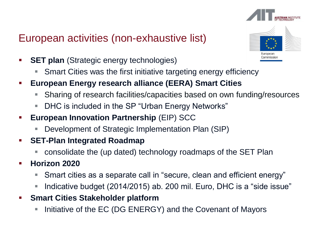### European activities (non-exhaustive list)

Commission

- **SET plan** (Strategic energy technologies)
	- Smart Cities was the first initiative targeting energy efficiency
- **European Energy research alliance (EERA) Smart Cities**
	- Sharing of research facilities/capacities based on own funding/resources
	- DHC is included in the SP "Urban Energy Networks"
- **European Innovation Partnership (EIP) SCC** 
	- Development of Strategic Implementation Plan (SIP)
- **SET-Plan Integrated Roadmap** 
	- consolidate the (up dated) technology roadmaps of the SET Plan
- **Horizon 2020**
	- Smart cities as a separate call in "secure, clean and efficient energy"
	- Indicative budget (2014/2015) ab. 200 mil. Euro, DHC is a "side issue"
- **Smart Cities Stakeholder platform**
	- **IF Initiative of the EC (DG ENERGY) and the Covenant of Mayors**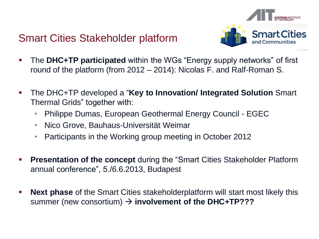# Cities Smart (

#### The **DHC+TP participated** within the WGs "Energy supply networks" of first round of the platform (from 2012 – 2014): Nicolas F. and Ralf-Roman S.

- The DHC+TP developed a "**Key to Innovation/ Integrated Solution** Smart Thermal Grids" together with:
	- Philippe Dumas, European Geothermal Energy Council EGEC
	- Nico Grove, Bauhaus-Universität Weimar

Smart Cities Stakeholder platform

- Participants in the Working group meeting in October 2012
- **Presentation of the concept** during the "Smart Cities Stakeholder Platform" annual conference", 5./6.6.2013, Budapest
- **Next phase** of the Smart Cities stakeholderplatform will start most likely this summer (new consortium) **involvement of the DHC+TP???**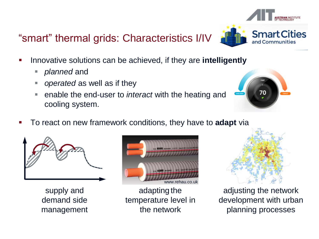### "smart" thermal grids: Characteristics I/IV

- **IDED** 10. Innovative solutions can be achieved, if they are **intelligently** 
	- *planned* and
	- *operated* as well as if they
	- **Example the end-user to** *interact* with the heating and cooling system.
- To react on new framework conditions, they have to **adapt** via





adapting the temperature level in the network



adjusting the network development with urban planning processes



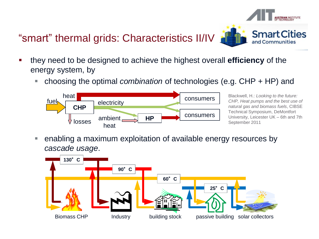### "smart" thermal grids: Characteristics II/IV



- they need to be designed to achieve the highest overall **efficiency** of the energy system, by
	- choosing the optimal *combination* of technologies (e.g. CHP + HP) and



Blackwell, H.: *Looking to the future: CHP, Heat pumps and the best use of natural gas and biomass fuels*, CIBSE Technical Symposium, DeMontfort University, Leicester UK – 6th and 7th September 2011

 enabling a maximum exploitation of available energy resources by *cascade usage*.

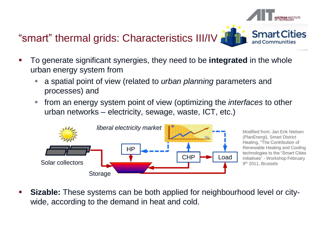### "smart" thermal grids: Characteristics III/IV

- To generate significant synergies, they need to be **integrated** in the whole urban energy system from
	- a spatial point of view (related to *urban planning* parameters and processes) and
	- from an energy system point of view (optimizing the *interfaces* to other urban networks – electricity, sewage, waste, ICT, etc.)



Modified from: Jan Erik Nielsen (PlanEnergi), Smart District Heating, "The Contribution of Renewable Heating and Cooling technologies to the "Smart Cities initiatives" - Workshop February 9<sup>th</sup> 2011, Brussels

**SmartCities** 

and Communities

 **Sizable:** These systems can be both applied for neighbourhood level or citywide, according to the demand in heat and cold.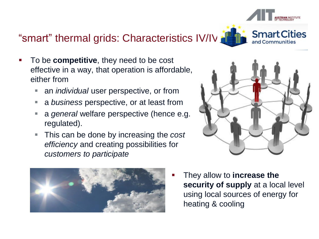## "smart" thermal grids: Characteristics IV/IV

- To be **competitive**, they need to be cost effective in a way, that operation is affordable, either from
	- **an** *individual* user perspective, or from
	- a *business* perspective, or at least from
	- a *general* welfare perspective (hence e.g. regulated).
	- This can be done by increasing the *cost efficiency* and creating possibilities for *customers to participate*







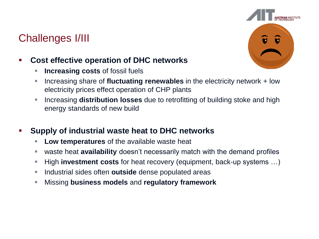### Challenges I/III



- **Cost effective operation of DHC networks**
	- **Increasing costs of fossil fuels**
	- **IF Increasing share of fluctuating renewables** in the electricity network + low electricity prices effect operation of CHP plants
	- **Increasing distribution losses** due to retrofitting of building stoke and high energy standards of new build
- **Supply of industrial waste heat to DHC networks**
	- **Low temperatures** of the available waste heat
	- waste heat **availability** doesn't necessarily match with the demand profiles
	- High **investment costs** for heat recovery (equipment, back-up systems ...)
	- **Industrial sides often outside dense populated areas**
	- Missing **business models** and **regulatory framework**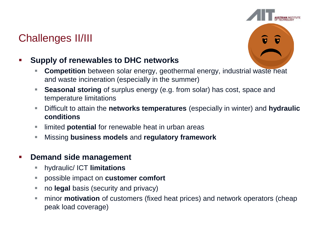### Challenges II/III



- **Supply of renewables to DHC networks** 
	- **Competition** between solar energy, geothermal energy, industrial waste heat and waste incineration (especially in the summer)
	- **Seasonal storing** of surplus energy (e.g. from solar) has cost, space and temperature limitations
	- Difficult to attain the **networks temperatures** (especially in winter) and **hydraulic conditions**
	- **I** limited **potential** for renewable heat in urban areas
	- Missing **business models** and **regulatory framework**

#### **-** Demand side management

- hydraulic/ ICT **limitations**
- possible impact on **customer comfort**
- no **legal** basis (security and privacy)
- minor **motivation** of customers (fixed heat prices) and network operators (cheap peak load coverage)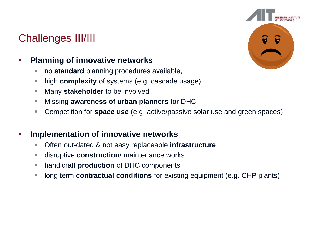### Challenges III/III

#### **Planning of innovative networks**

- **no standard** planning procedures available,
- **high complexity** of systems (e.g. cascade usage)
- **Many stakeholder** to be involved
- Missing **awareness of urban planners** for DHC
- Competition for **space use** (e.g. active/passive solar use and green spaces)

#### **Implementation of innovative networks**

- Often out-dated & not easy replaceable **infrastructure**
- disruptive **construction**/ maintenance works
- handicraft **production** of DHC components
- long term **contractual conditions** for existing equipment (e.g. CHP plants)

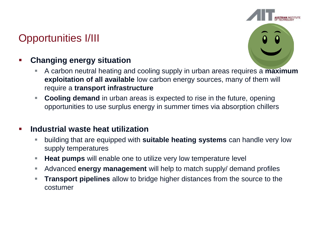## Opportunities I/III



### **Changing energy situation**

- A carbon neutral heating and cooling supply in urban areas requires a **maximum exploitation of all available** low carbon energy sources, many of them will require a **transport infrastructure**
- **Cooling demand** in urban areas is expected to rise in the future, opening opportunities to use surplus energy in summer times via absorption chillers

#### **Industrial waste heat utilization**

- building that are equipped with **suitable heating systems** can handle very low supply temperatures
- **Heat pumps** will enable one to utilize very low temperature level
- Advanced **energy management** will help to match supply/ demand profiles
- **Transport pipelines** allow to bridge higher distances from the source to the costumer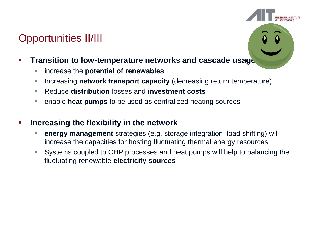### Opportunities II/III

#### **Transition to low-temperature networks and cascade usage**

- increase the **potential of renewables**
- **IF Increasing network transport capacity** (decreasing return temperature)
- Reduce **distribution** losses and **investment costs**
- enable **heat pumps** to be used as centralized heating sources

#### **Increasing the flexibility in the network**

- **energy management** strategies (e.g. storage integration, load shifting) will increase the capacities for hosting fluctuating thermal energy resources
- Systems coupled to CHP processes and heat pumps will help to balancing the fluctuating renewable **electricity sources**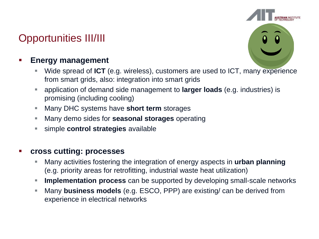## Opportunities III/III

#### **Energy management**

- Wide spread of **ICT** (e.g. wireless), customers are used to ICT, many experience from smart grids, also: integration into smart grids
- application of demand side management to **larger loads** (e.g. industries) is promising (including cooling)
- Many DHC systems have **short term** storages
- Many demo sides for **seasonal storages** operating
- simple **control strategies** available

#### **cross cutting: processes**

- Many activities fostering the integration of energy aspects in **urban planning**  (e.g. priority areas for retrofitting, industrial waste heat utilization)
- **Implementation process** can be supported by developing small-scale networks
- Many **business models** (e.g. ESCO, PPP) are existing/ can be derived from experience in electrical networks

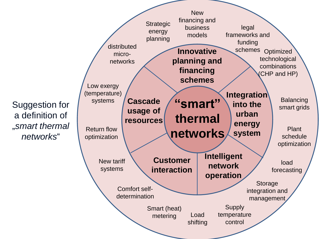Suggestion for a definition of "*smart thermal networks*"

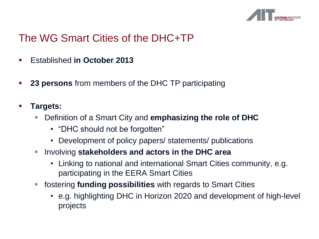

### The WG Smart Cities of the DHC+TP

- Established **in October 2013**
- **23 persons** from members of the DHC TP participating

#### **Targets:**

- Definition of a Smart City and **emphasizing the role of DHC** 
	- "DHC should not be forgotten"
	- Development of policy papers/ statements/ publications
- **IDED 15 Involving stakeholders and actors in the DHC area** 
	- Linking to national and international Smart Cities community, e.g. participating in the EERA Smart Cities
- fostering **funding possibilities** with regards to Smart Cities
	- e.g. highlighting DHC in Horizon 2020 and development of high-level projects